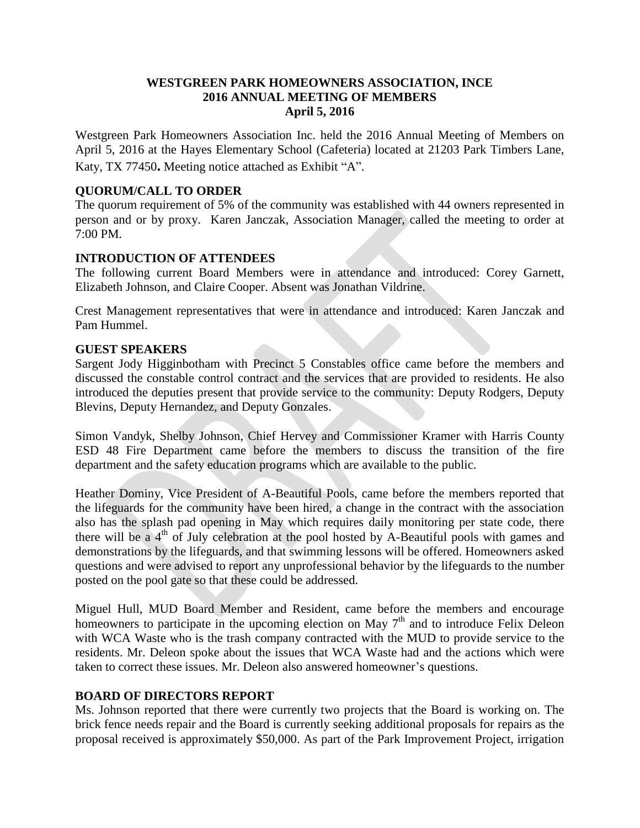## **WESTGREEN PARK HOMEOWNERS ASSOCIATION, INCE 2016 ANNUAL MEETING OF MEMBERS April 5, 2016**

Westgreen Park Homeowners Association Inc. held the 2016 Annual Meeting of Members on April 5, 2016 at the Hayes Elementary School (Cafeteria) located at 21203 Park Timbers Lane, Katy, TX 77450**.** Meeting notice attached as Exhibit "A".

# **QUORUM/CALL TO ORDER**

The quorum requirement of 5% of the community was established with 44 owners represented in person and or by proxy. Karen Janczak, Association Manager, called the meeting to order at 7:00 PM.

# **INTRODUCTION OF ATTENDEES**

The following current Board Members were in attendance and introduced: Corey Garnett, Elizabeth Johnson, and Claire Cooper. Absent was Jonathan Vildrine.

Crest Management representatives that were in attendance and introduced: Karen Janczak and Pam Hummel.

### **GUEST SPEAKERS**

Sargent Jody Higginbotham with Precinct 5 Constables office came before the members and discussed the constable control contract and the services that are provided to residents. He also introduced the deputies present that provide service to the community: Deputy Rodgers, Deputy Blevins, Deputy Hernandez, and Deputy Gonzales.

Simon Vandyk, Shelby Johnson, Chief Hervey and Commissioner Kramer with Harris County ESD 48 Fire Department came before the members to discuss the transition of the fire department and the safety education programs which are available to the public.

Heather Dominy, Vice President of A-Beautiful Pools, came before the members reported that the lifeguards for the community have been hired, a change in the contract with the association also has the splash pad opening in May which requires daily monitoring per state code, there there will be a  $4<sup>th</sup>$  of July celebration at the pool hosted by A-Beautiful pools with games and demonstrations by the lifeguards, and that swimming lessons will be offered. Homeowners asked questions and were advised to report any unprofessional behavior by the lifeguards to the number posted on the pool gate so that these could be addressed.

Miguel Hull, MUD Board Member and Resident, came before the members and encourage homeowners to participate in the upcoming election on May  $7<sup>th</sup>$  and to introduce Felix Deleon with WCA Waste who is the trash company contracted with the MUD to provide service to the residents. Mr. Deleon spoke about the issues that WCA Waste had and the actions which were taken to correct these issues. Mr. Deleon also answered homeowner's questions.

### **BOARD OF DIRECTORS REPORT**

Ms. Johnson reported that there were currently two projects that the Board is working on. The brick fence needs repair and the Board is currently seeking additional proposals for repairs as the proposal received is approximately \$50,000. As part of the Park Improvement Project, irrigation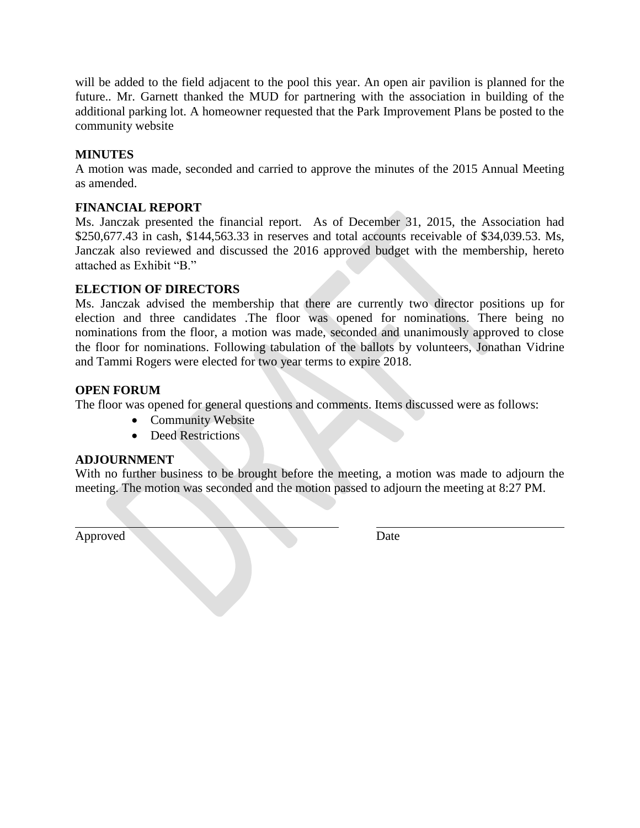will be added to the field adjacent to the pool this year. An open air pavilion is planned for the future.. Mr. Garnett thanked the MUD for partnering with the association in building of the additional parking lot. A homeowner requested that the Park Improvement Plans be posted to the community website

# **MINUTES**

A motion was made, seconded and carried to approve the minutes of the 2015 Annual Meeting as amended.

# **FINANCIAL REPORT**

Ms. Janczak presented the financial report. As of December 31, 2015, the Association had \$250,677.43 in cash, \$144,563.33 in reserves and total accounts receivable of \$34,039.53. Ms, Janczak also reviewed and discussed the 2016 approved budget with the membership, hereto attached as Exhibit "B."

# **ELECTION OF DIRECTORS**

Ms. Janczak advised the membership that there are currently two director positions up for election and three candidates .The floor was opened for nominations. There being no nominations from the floor, a motion was made, seconded and unanimously approved to close the floor for nominations. Following tabulation of the ballots by volunteers, Jonathan Vidrine and Tammi Rogers were elected for two year terms to expire 2018.

# **OPEN FORUM**

The floor was opened for general questions and comments. Items discussed were as follows:

- Community Website
- Deed Restrictions

### **ADJOURNMENT**

With no further business to be brought before the meeting, a motion was made to adjourn the meeting. The motion was seconded and the motion passed to adjourn the meeting at 8:27 PM.

Approved Date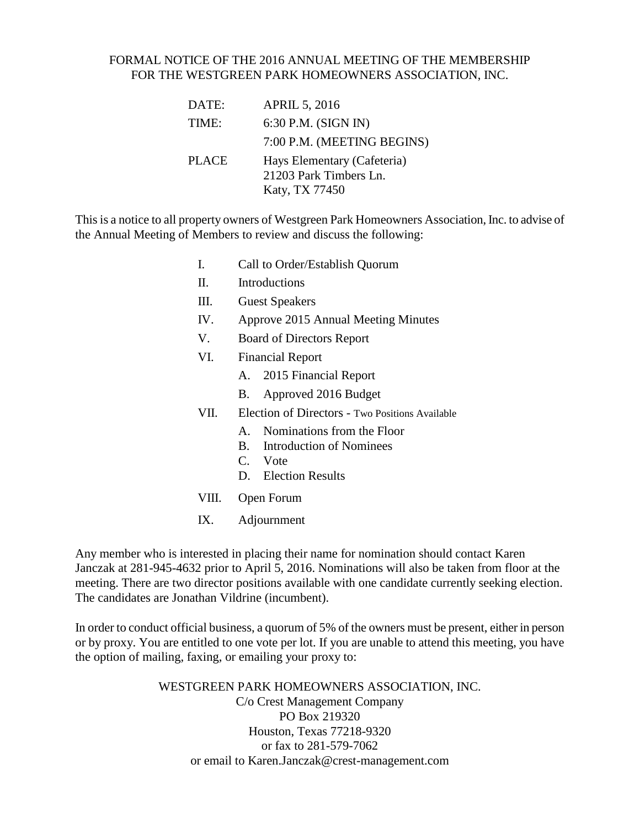# FORMAL NOTICE OF THE 2016 ANNUAL MEETING OF THE MEMBERSHIP FOR THE WESTGREEN PARK HOMEOWNERS ASSOCIATION, INC.

| DATE:        | <b>APRIL 5, 2016</b>                                                    |
|--------------|-------------------------------------------------------------------------|
| TIME:        | 6:30 P.M. (SIGN IN)                                                     |
|              | 7:00 P.M. (MEETING BEGINS)                                              |
| <b>PLACE</b> | Hays Elementary (Cafeteria)<br>21203 Park Timbers Ln.<br>Katy, TX 77450 |

This is a notice to all property owners of Westgreen Park Homeowners Association, Inc. to advise of the Annual Meeting of Members to review and discuss the following:

- I. Call to Order/Establish Quorum
- II. Introductions
- III. Guest Speakers
- IV. Approve 2015 Annual Meeting Minutes
- V. Board of Directors Report
- VI. Financial Report
	- A. 2015 Financial Report
	- B. Approved 2016 Budget
- VII. Election of Directors Two Positions Available
	- A. Nominations from the Floor
	- B. Introduction of Nominees
	- C. Vote
	- D. Election Results
- VIII. Open Forum
- IX. Adjournment

Any member who is interested in placing their name for nomination should contact Karen Janczak at 281-945-4632 prior to April 5, 2016. Nominations will also be taken from floor at the meeting. There are two director positions available with one candidate currently seeking election. The candidates are Jonathan Vildrine (incumbent).

In order to conduct official business, a quorum of 5% of the owners must be present, either in person or by proxy. You are entitled to one vote per lot. If you are unable to attend this meeting, you have the option of mailing, faxing, or emailing your proxy to:

> WESTGREEN PARK HOMEOWNERS ASSOCIATION, INC. C/o Crest Management Company PO Box 219320 Houston, Texas 77218-9320 or fax to 281-579-7062 or email to Karen.Janczak@crest-management.com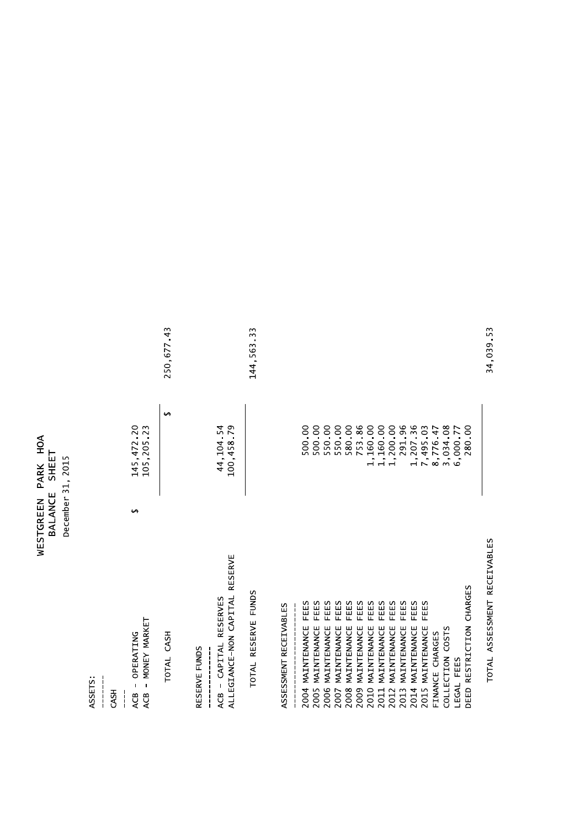| Ş         | $\overline{\overline{\overline{u}}}$ |                       |
|-----------|--------------------------------------|-----------------------|
| PARK      | 도<br>사                               | 2015<br>$\frac{1}{2}$ |
| WESTGREEN | ш<br>BALANCI                         | December              |

ASSETS:

| -c1325<br><b>GSH</b>                                                         |               |                                  |             |
|------------------------------------------------------------------------------|---------------|----------------------------------|-------------|
| - MONEY MARKET<br>OPERATING<br>$\mathbf{i}$<br>ACB<br>ACB<br>$\frac{1}{1}$   | $\rightarrow$ | 145, 472 20<br>105,205 23        |             |
| TOTAL CASH                                                                   |               | $\rightarrow$                    | 250,677.43  |
| RESERVE<br>ALLEGIANCE-NON CAPITAL<br>ACB - CAPITAL RESERVES<br>RESERVE FUNDS |               | 100,458 79<br>44,104.54          |             |
| TOTAL RESERVE FUNDS                                                          |               |                                  | 144, 563 33 |
| ASSESSMENT RECEIVABLES                                                       |               |                                  |             |
| FEES<br>MAINTENANCE<br>2004                                                  |               | 500.00                           |             |
| FEES<br>MAINTENANCE<br>2005                                                  |               | 500.00                           |             |
| FEES<br>FEES<br>MAINTENANCE<br>MAINTENANCE<br>2006<br>2007                   |               | 550.00<br>550 00                 |             |
| FEES<br>MAINTENANCE<br>2008                                                  |               | 580 00                           |             |
| FEES<br>MAINTENANCE<br>2009                                                  |               | 753 86                           |             |
| FEES<br>MAINTENANCE<br>2010                                                  |               | 1,160.00                         |             |
| FEES<br>MAINTENANCE<br>2011                                                  |               | 1,160.00<br>1,200.00             |             |
| FEES<br>MAINTENANCE<br>2012                                                  |               |                                  |             |
| FEES<br>FEES<br>MAINTENANCE<br>MAINTENANCE<br>2014<br>2013                   |               | 291.96                           |             |
| FEES<br>2015 MAINTENANCE                                                     |               | 1,207 36<br>7,495 03<br>8,776 47 |             |
| FINANCE CHARGES                                                              |               |                                  |             |
| COLLECTION COSTS                                                             |               | 3,034 08                         |             |
| <b>EGAL FEES</b>                                                             |               | 6,000.77                         |             |
| DEED RESTRICTION CHARGES                                                     |               | 280.00                           |             |

TOTAL ASSESSMENT RECEIVABLES

34,039.53